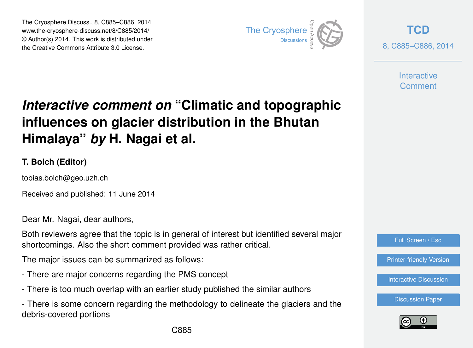The Cryosphere Discuss., 8, C885–C886, 2014 www.the-cryosphere-discuss.net/8/C885/2014/ © Author(s) 2014. This work is distributed under The Cryosphere Discuss., 8, C885–C886, 2014<br>
www.the-cryosphere-discuss.net/8/C885/2014/<br>
© Author(s) 2014. This work is distributed under<br>
the Creative Commons Attribute 3.0 License.



**[TCD](http://www.the-cryosphere-discuss.net)** 8, C885–C886, 2014

> **Interactive** Comment

## *Interactive comment on* **"Climatic and topographic influences on glacier distribution in the Bhutan Himalaya"** *by* **H. Nagai et al.**

## **T. Bolch (Editor)**

tobias.bolch@geo.uzh.ch

Received and published: 11 June 2014

Dear Mr. Nagai, dear authors,

Both reviewers agree that the topic is in general of interest but identified several major shortcomings. Also the short comment provided was rather critical.

The major issues can be summarized as follows:

- There are major concerns regarding the PMS concept
- There is too much overlap with an earlier study published the similar authors

- There is some concern regarding the methodology to delineate the glaciers and the debris-covered portions



[Printer-friendly Version](http://www.the-cryosphere-discuss.net/8/C885/2014/tcd-8-C885-2014-print.pdf)

[Interactive Discussion](http://www.the-cryosphere-discuss.net/8/1305/2014/tcd-8-1305-2014-discussion.html)

[Discussion Paper](http://www.the-cryosphere-discuss.net/8/1305/2014/tcd-8-1305-2014.pdf)